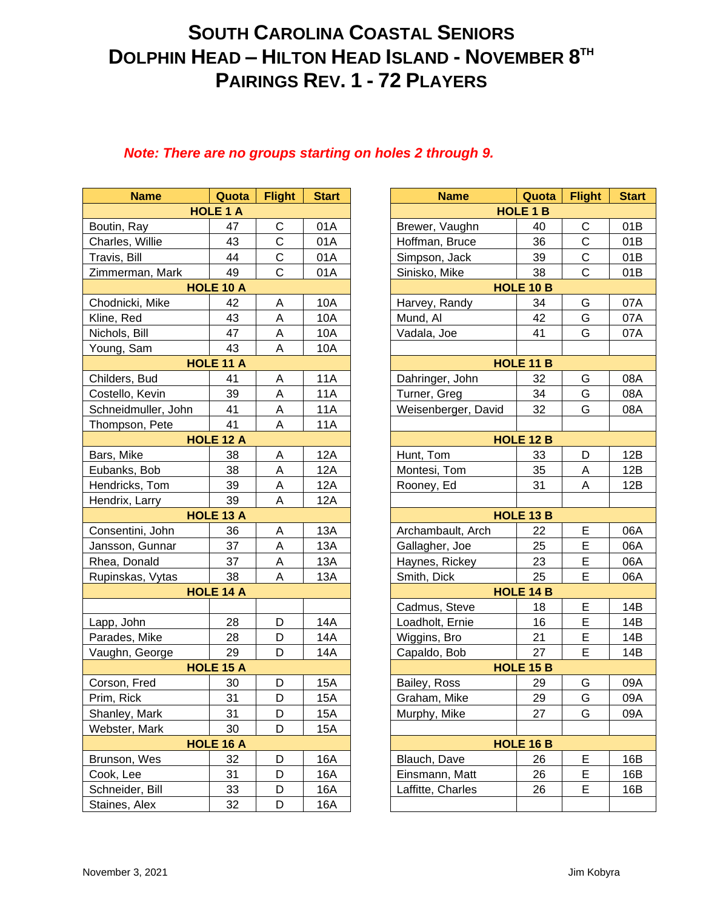## **SOUTH CAROLINA COASTAL SENIORS DOLPHIN HEAD – HILTON HEAD ISLAND - NOVEMBER 8 TH PAIRINGS REV. 1 - 72 PLAYERS**

## *Note: There are no groups starting on holes 2 through 9.*

| <b>Name</b>         | Quota            | <b>Flight</b> | <b>Start</b> |  |
|---------------------|------------------|---------------|--------------|--|
|                     | <b>HOLE 1 A</b>  |               |              |  |
| Boutin, Ray         | 47               | C             | 01A          |  |
| Charles, Willie     | 43               | $\mathsf C$   | 01A          |  |
| Travis, Bill        | 44               | $\mathsf C$   | 01A          |  |
| Zimmerman, Mark     | 49               | $\mathsf{C}$  | 01A          |  |
| <b>HOLE 10 A</b>    |                  |               |              |  |
| Chodnicki, Mike     | 42               | А             | 10A          |  |
| Kline, Red          | 43               | A             | 10A          |  |
| Nichols, Bill       | 47               | Α             | 10A          |  |
| Young, Sam          | 43               | A             | 10A          |  |
| HOLE 11 A           |                  |               |              |  |
| Childers, Bud       | 41               | Α             | <b>11A</b>   |  |
| Costello, Kevin     | 39               | A             | <b>11A</b>   |  |
| Schneidmuller, John | 41               | Α             | 11A          |  |
| Thompson, Pete      | 41               | Α             | 11A          |  |
| HOLE 12 A           |                  |               |              |  |
| Bars, Mike          | 38               | Α             | <b>12A</b>   |  |
| Eubanks, Bob        | 38               | A             | <b>12A</b>   |  |
| Hendricks, Tom      | 39               | A             | 12A          |  |
| Hendrix, Larry      | 39               | A             | <b>12A</b>   |  |
|                     | <b>HOLE 13 A</b> |               |              |  |
| Consentini, John    | 36               | Α             | 13A          |  |
| Jansson, Gunnar     | 37               | Α             | 13A          |  |
| Rhea, Donald        | 37               | A             | 13A          |  |
| Rupinskas, Vytas    | 38               | A             | 13A          |  |
|                     | <b>HOLE 14 A</b> |               |              |  |
|                     |                  |               |              |  |
| Lapp, John          | 28               | D             | 14A          |  |
| Parades, Mike       | 28               | D             | 14A          |  |
| Vaughn, George      | 29               | D             | 14A          |  |
|                     | <b>HOLE 15 A</b> |               |              |  |
| Corson, Fred        | 30               | D             | 15A          |  |
| Prim, Rick          | 31               | D             | 15A          |  |
| Shanley, Mark       | 31               | D             | 15A          |  |
| Webster, Mark       | 30               | D             | 15A          |  |
|                     | HOLE 16 A        |               |              |  |
| Brunson, Wes        | 32               | D             | 16A          |  |
| Cook, Lee           | 31               | D             | 16A          |  |
| Schneider, Bill     | 33               | D             | 16A          |  |
| Staines, Alex       | 32               | D             | 16A          |  |
|                     |                  |               |              |  |

| <b>Name</b>      | Quota            | <b>Flight</b>             | <b>Start</b> | Quota<br><b>Name</b>      | <b>Flight</b> | <b>Start</b> |
|------------------|------------------|---------------------------|--------------|---------------------------|---------------|--------------|
|                  | <b>HOLE 1 A</b>  |                           |              | <b>HOLE 1 B</b>           |               |              |
| ₹ay              | 47               | C                         | 01A          | Brewer, Vaughn<br>40      | C             | 01B          |
| Willie           | 43               | $\mathsf{C}$              | 01A          | 36<br>Hoffman, Bruce      | $\mathsf C$   | 01B          |
| 3ill             | 44               | $\mathsf C$               | 01A          | Simpson, Jack<br>39       | $\mathsf C$   | 01B          |
| nan, Mark        | 49               | $\overline{C}$            | 01A          | Sinisko, Mike<br>38       | $\mathsf{C}$  | 01B          |
| HOLE 10 A        |                  |                           |              | HOLE 10 B                 |               |              |
| ki, Mike         | 42               | Α                         | 10A          | 34<br>Harvey, Randy       | G             | 07A          |
| ed               | 43               | A                         | 10A          | Mund, Al<br>42            | G             | 07A          |
| Bill             | 47               | A                         | 10A          | Vadala, Joe<br>41         | G             | 07A          |
| Sam              | 43               | A                         | 10A          |                           |               |              |
|                  | <b>HOLE 11 A</b> |                           |              | HOLE 11 B                 |               |              |
| , Bud            | 41               | Α                         | <b>11A</b>   | Dahringer, John<br>32     | G             | 08A          |
| , Kevin          | 39               | A                         | <b>11A</b>   | Turner, Greg<br>34        | G             | 08A          |
| muller, John     | 41               | A                         | <b>11A</b>   | Weisenberger, David<br>32 | G             | 08A          |
| on, Pete         | 41               | A                         | <b>11A</b>   |                           |               |              |
| HOLE 12 A        |                  |                           |              | HOLE 12 B                 |               |              |
| ke               | 38               | Α                         | <b>12A</b>   | Hunt, Tom<br>33           | D             | 12B          |
| s, Bob           | 38               | $\boldsymbol{\mathsf{A}}$ | 12A          | Montesi, Tom<br>35        | A             | 12B          |
| ks, Tom          | 39               | $\mathsf A$               | <b>12A</b>   | 31<br>Rooney, Ed          | A             | 12B          |
| Larry            | 39               | $\mathsf A$               | <b>12A</b>   |                           |               |              |
| HOLE 13 A        |                  |                           |              | HOLE 13 B                 |               |              |
| ini, John        | 36               | A                         | 13A          | Archambault, Arch<br>22   | Е             | 06A          |
| ı, Gunnar        | 37               | $\mathsf{A}$              | <b>13A</b>   | 25<br>Gallagher, Joe      | E             | 06A          |
| onald            | 37               | $\mathsf A$               | <b>13A</b>   | 23<br>Haynes, Rickey      | E             | 06A          |
| as, Vytas        | 38               | A                         | 13A          | 25<br>Smith, Dick         | Е             | 06A          |
| <b>HOLE 14 A</b> |                  |                           |              | <b>HOLE 14 B</b>          |               |              |
|                  |                  |                           |              | Cadmus, Steve<br>18       | E             | 14B          |
| bhn              | 28               | D                         | <b>14A</b>   | Loadholt, Ernie<br>16     | E             | 14B          |
| , Mike           | 28               | D                         | 14A          | 21<br>Wiggins, Bro        | E             | 14B          |
| George           | 29               | D                         | 14A          | 27<br>Capaldo, Bob        | E             | 14B          |
|                  | <b>HOLE 15 A</b> |                           |              | <b>HOLE 15 B</b>          |               |              |
| Fred             | 30               | D                         | <b>15A</b>   | Bailey, Ross<br>29        | G             | 09A          |
| ck               | 31               | D                         | <b>15A</b>   | 29<br>Graham, Mike        | G             | 09A          |
| , Mark           | 31               | D                         | 15A          | 27<br>Murphy, Mike        | G             | 09A          |
| , Mark           | 30               | D                         | 15A          |                           |               |              |
|                  | <b>HOLE 16 A</b> |                           |              | <b>HOLE 16 B</b>          |               |              |
| , Wes            | 32               | D                         | 16A          | 26<br>Blauch, Dave        | Е             | 16B          |
| эе               | 31               | D                         | 16A          | Einsmann, Matt<br>26      | E             | 16B          |
| er, Bill         | 33               | D                         | 16A          | Laffitte, Charles<br>26   | Е             | 16B          |
| Alex             | 32               | D                         | 16A          |                           |               |              |